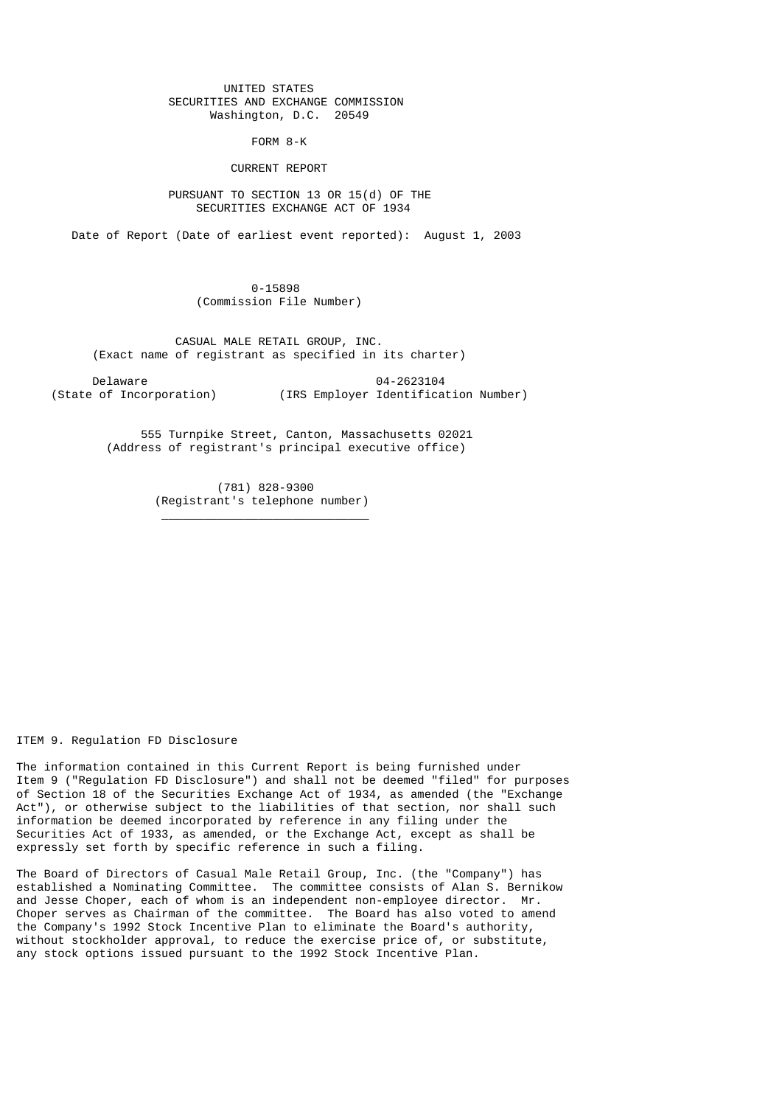## UNITED STATES SECURITIES AND EXCHANGE COMMISSION Washington, D.C. 20549

FORM 8-K

## CURRENT REPORT

 PURSUANT TO SECTION 13 OR 15(d) OF THE SECURITIES EXCHANGE ACT OF 1934

Date of Report (Date of earliest event reported): August 1, 2003

 0-15898 (Commission File Number)

 CASUAL MALE RETAIL GROUP, INC. (Exact name of registrant as specified in its charter)

 Delaware 04-2623104 (IRS Employer Identification Number)

> 555 Turnpike Street, Canton, Massachusetts 02021 (Address of registrant's principal executive office)

> > (781) 828-9300 (Registrant's telephone number)

 $\frac{1}{\sqrt{2}}$  ,  $\frac{1}{\sqrt{2}}$  ,  $\frac{1}{\sqrt{2}}$  ,  $\frac{1}{\sqrt{2}}$  ,  $\frac{1}{\sqrt{2}}$  ,  $\frac{1}{\sqrt{2}}$  ,  $\frac{1}{\sqrt{2}}$  ,  $\frac{1}{\sqrt{2}}$  ,  $\frac{1}{\sqrt{2}}$  ,  $\frac{1}{\sqrt{2}}$  ,  $\frac{1}{\sqrt{2}}$  ,  $\frac{1}{\sqrt{2}}$  ,  $\frac{1}{\sqrt{2}}$  ,  $\frac{1}{\sqrt{2}}$  ,  $\frac{1}{\sqrt{2}}$ 

ITEM 9. Regulation FD Disclosure

The information contained in this Current Report is being furnished under Item 9 ("Regulation FD Disclosure") and shall not be deemed "filed" for purposes of Section 18 of the Securities Exchange Act of 1934, as amended (the "Exchange Act"), or otherwise subject to the liabilities of that section, nor shall such information be deemed incorporated by reference in any filing under the Securities Act of 1933, as amended, or the Exchange Act, except as shall be expressly set forth by specific reference in such a filing.

The Board of Directors of Casual Male Retail Group, Inc. (the "Company") has established a Nominating Committee. The committee consists of Alan S. Bernikow and Jesse Choper, each of whom is an independent non-employee director. Mr. Choper serves as Chairman of the committee. The Board has also voted to amend the Company's 1992 Stock Incentive Plan to eliminate the Board's authority, without stockholder approval, to reduce the exercise price of, or substitute, any stock options issued pursuant to the 1992 Stock Incentive Plan.